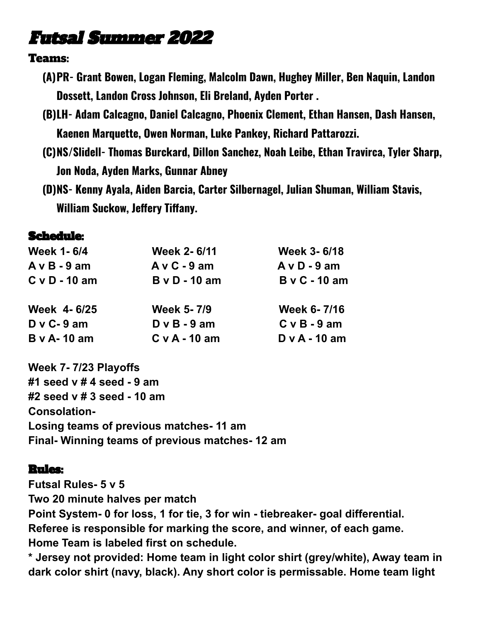## Futsal Summer 2022

## Teams:

- **(A)PR- Grant Bowen, Logan Fleming, Malcolm Dawn, Hughey Miller, Ben Naquin, Landon Dossett, Landon Cross Johnson, Eli Breland, Ayden Porter .**
- **(B)LH- Adam Calcagno, Daniel Calcagno, Phoenix Clement, Ethan Hansen, Dash Hansen, Kaenen Marquette, Owen Norman, Luke Pankey, Richard Pattarozzi.**
- **(C)NS/Slidell- Thomas Burckard, Dillon Sanchez, Noah Leibe, Ethan Travirca, Tyler Sharp, Jon Noda, Ayden Marks, Gunnar Abney**
- **(D)NS- Kenny Ayala, Aiden Barcia, Carter Silbernagel, Julian Shuman, William Stavis, William Suckow, Jeffery Tiffany.**

## Schedule:

| <b>Week 1-6/4</b>  | <b>Week 2-6/11</b>   | <b>Week 3-6/18</b>   |
|--------------------|----------------------|----------------------|
| $A v B - 9 am$     | $A \vee C - 9$ am    | $A \vee D - 9$ am    |
| $C$ v D - 10 am    | <b>B</b> v D - 10 am | <b>B</b> v C - 10 am |
| Week 4-6/25        | <b>Week 5-7/9</b>    | Week 6-7/16          |
| $D$ v C-9 am       | $D \vee B - 9$ am    | $C v B - 9 am$       |
| <b>B</b> v A-10 am | $C v A - 10 am$      | $D \vee A - 10$ am   |

**Week 7- 7/23 Playoffs #1 seed v # 4 seed - 9 am #2 seed v # 3 seed - 10 am Consolation-Losing teams of previous matches- 11 am Final- Winning teams of previous matches- 12 am**

## Rules:

**Futsal Rules- 5 v 5 Two 20 minute halves per match Point System- 0 for loss, 1 for tie, 3 for win - tiebreaker- goal differential. Referee is responsible for marking the score, and winner, of each game. Home Team is labeled first on schedule.**

**\* Jersey not provided: Home team in light color shirt (grey/white), Away team in dark color shirt (navy, black). Any short color is permissable. Home team light**